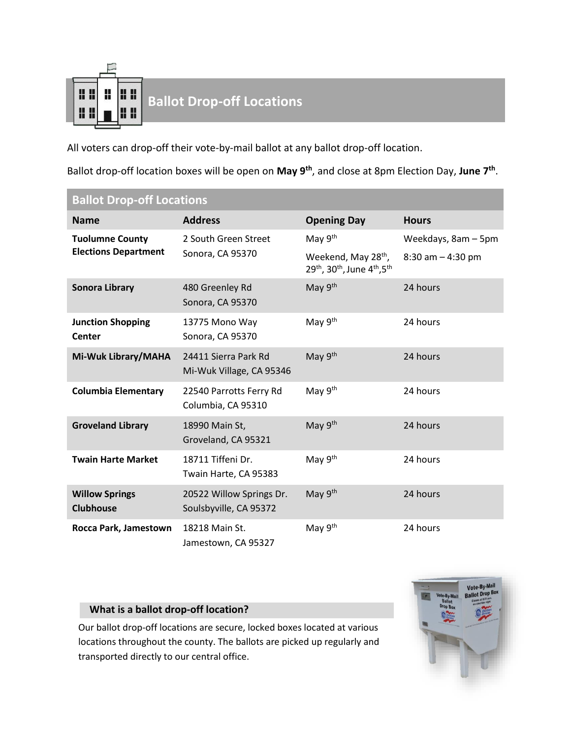

## **Ballot Drop-off Locations**<br>**Ballot Drop-off Locations**

All voters can drop-off their vote-by-mail ballot at any ballot drop-off location.

Ballot drop-off location boxes will be open on **May 9th**, and close at 8pm Election Day, **June 7th** .

| <b>Ballot Drop-off Locations</b>                      |                                                    |                                                                                                                 |                      |  |
|-------------------------------------------------------|----------------------------------------------------|-----------------------------------------------------------------------------------------------------------------|----------------------|--|
| <b>Name</b>                                           | <b>Address</b>                                     | <b>Opening Day</b>                                                                                              | <b>Hours</b>         |  |
| <b>Tuolumne County</b><br><b>Elections Department</b> | 2 South Green Street<br>Sonora, CA 95370           | May 9 <sup>th</sup>                                                                                             | Weekdays, 8am - 5pm  |  |
|                                                       |                                                    | Weekend, May 28 <sup>th</sup> ,<br>29 <sup>th</sup> , 30 <sup>th</sup> , June 4 <sup>th</sup> , 5 <sup>th</sup> | $8:30$ am $-4:30$ pm |  |
| <b>Sonora Library</b>                                 | 480 Greenley Rd<br>Sonora, CA 95370                | May 9th                                                                                                         | 24 hours             |  |
| <b>Junction Shopping</b><br><b>Center</b>             | 13775 Mono Way<br>Sonora, CA 95370                 | May 9 <sup>th</sup>                                                                                             | 24 hours             |  |
| Mi-Wuk Library/MAHA                                   | 24411 Sierra Park Rd<br>Mi-Wuk Village, CA 95346   | May 9th                                                                                                         | 24 hours             |  |
| <b>Columbia Elementary</b>                            | 22540 Parrotts Ferry Rd<br>Columbia, CA 95310      | May 9 <sup>th</sup>                                                                                             | 24 hours             |  |
| <b>Groveland Library</b>                              | 18990 Main St,<br>Groveland, CA 95321              | May 9th                                                                                                         | 24 hours             |  |
| <b>Twain Harte Market</b>                             | 18711 Tiffeni Dr.<br>Twain Harte, CA 95383         | May 9 <sup>th</sup>                                                                                             | 24 hours             |  |
| <b>Willow Springs</b><br><b>Clubhouse</b>             | 20522 Willow Springs Dr.<br>Soulsbyville, CA 95372 | May 9 <sup>th</sup>                                                                                             | 24 hours             |  |
| Rocca Park, Jamestown                                 | 18218 Main St.<br>Jamestown, CA 95327              | May 9 <sup>th</sup>                                                                                             | 24 hours             |  |

## **What is a ballot drop-off location?**

Our ballot drop-off locations are secure, locked boxes located at various locations throughout the county. The ballots are picked up regularly and transported directly to our central office.